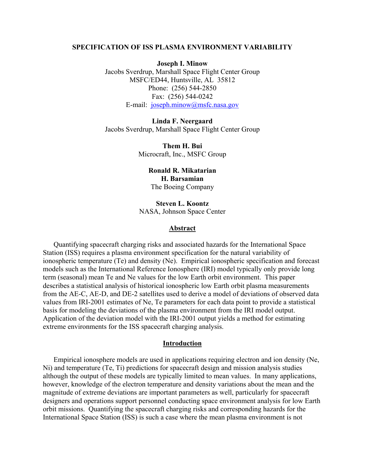# **SPECIFICATION OF ISS PLASMA ENVIRONMENT VARIABILITY**

**Joseph I. Minow** 

Jacobs Sverdrup, Marshall Space Flight Center Group MSFC/ED44, Huntsville, AL 35812 Phone: (256) 544-2850 Fax: (256) 544-0242 E-mail: [joseph.minow@msfc.nasa.gov](mailto:joseph.minow@msfc.nasa.gov)

**Linda F. Neergaard**  Jacobs Sverdrup, Marshall Space Flight Center Group

> **Them H. Bui**  Microcraft, Inc., MSFC Group

> > **Ronald R. Mikatarian H. Barsamian**  The Boeing Company

**Steven L. Koontz**  NASA, Johnson Space Center

## **Abstract**

Quantifying spacecraft charging risks and associated hazards for the International Space Station (ISS) requires a plasma environment specification for the natural variability of ionospheric temperature (Te) and density (Ne). Empirical ionospheric specification and forecast models such as the International Reference Ionosphere (IRI) model typically only provide long term (seasonal) mean Te and Ne values for the low Earth orbit environment. This paper describes a statistical analysis of historical ionospheric low Earth orbit plasma measurements from the AE-C, AE-D, and DE-2 satellites used to derive a model of deviations of observed data values from IRI-2001 estimates of Ne, Te parameters for each data point to provide a statistical basis for modeling the deviations of the plasma environment from the IRI model output. Application of the deviation model with the IRI-2001 output yields a method for estimating extreme environments for the ISS spacecraft charging analysis.

### **Introduction**

Empirical ionosphere models are used in applications requiring electron and ion density (Ne, Ni) and temperature (Te, Ti) predictions for spacecraft design and mission analysis studies although the output of these models are typically limited to mean values. In many applications, however, knowledge of the electron temperature and density variations about the mean and the magnitude of extreme deviations are important parameters as well, particularly for spacecraft designers and operations support personnel conducting space environment analysis for low Earth orbit missions. Quantifying the spacecraft charging risks and corresponding hazards for the International Space Station (ISS) is such a case where the mean plasma environment is not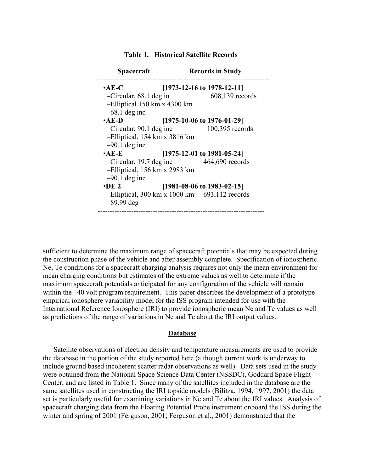| <b>Spacecraft</b>                                     |                               | <b>Records in Study</b> |  |
|-------------------------------------------------------|-------------------------------|-------------------------|--|
| $\cdot$ AE-C                                          | $[1973-12-16$ to 1978-12-11]  |                         |  |
| $-Circular, 68.1$ deg in                              |                               | $608,139$ records       |  |
| $-Elliptical$ 150 km x 4300 km                        |                               |                         |  |
| $-68.1$ deg inc                                       |                               |                         |  |
| $\cdot$ AE-D                                          | $[1975-10-06$ to 1976-01-29]  |                         |  |
| $-Circular, 90.1$ deg inc                             |                               | 100,395 records         |  |
| -Elliptical, 154 km x 3816 km                         |                               |                         |  |
| $-90.1$ deg inc                                       |                               |                         |  |
| $\bullet$ AE-E                                        | $[1975-12-01]$ to 1981-05-24] |                         |  |
| $-Circular, 19.7$ deg inc                             |                               | 464,690 records         |  |
| -Elliptical, 156 km x 2983 km                         |                               |                         |  |
| $-90.1$ deg inc                                       |                               |                         |  |
| $\cdot$ DE 2<br>$[1981-08-06 \text{ to } 1983-02-15]$ |                               |                         |  |
| $-Elliptical$ , 300 km x 1000 km 693, 112 records     |                               |                         |  |
| $-89.99$ deg                                          |                               |                         |  |
|                                                       |                               |                         |  |

 **Table 1. Historical Satellite Records** 

sufficient to determine the maximum range of spacecraft potentials that may be expected during the construction phase of the vehicle and after assembly complete. Specification of ionospheric Ne, Te conditions for a spacecraft charging analysis requires not only the mean environment for mean charging conditions but estimates of the extreme values as well to determine if the maximum spacecraft potentials anticipated for any configuration of the vehicle will remain within the –40 volt program requirement. This paper describes the development of a prototype empirical ionosphere variability model for the ISS program intended for use with the International Reference Ionosphere (IRI) to provide ionospheric mean Ne and Te values as well as predictions of the range of variations in Ne and Te about the IRI output values.

# **Database**

Satellite observations of electron density and temperature measurements are used to provide the database in the portion of the study reported here (although current work is underway to include ground based incoherent scatter radar observations as well). Data sets used in the study were obtained from the National Space Science Data Center (NSSDC), Goddard Space Flight Center, and are listed in Table 1. Since many of the satellites included in the database are the same satellites used in constructing the IRI topside models (Bilitza, 1994, 1997, 2001) the data set is particularly useful for examining variations in Ne and Te about the IRI values. Analysis of spacecraft charging data from the Floating Potential Probe instrument onboard the ISS during the winter and spring of 2001 (Ferguson, 2001; Ferguson et al., 2001) demonstrated that the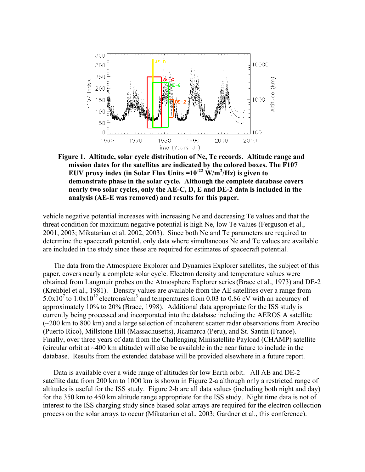

**Figure 1. Altitude, solar cycle distribution of Ne, Te records. Altitude range and mission dates for the satellites are indicated by the colored boxes. The F107**  EUV proxy index (in Solar Flux Units  $=10^{-22}$  W/m<sup>2</sup>/Hz) is given to **demonstrate phase in the solar cycle. Although the complete database covers nearly two solar cycles, only the AE-C, D, E and DE-2 data is included in the analysis (AE-E was removed) and results for this paper.** 

vehicle negative potential increases with increasing Ne and decreasing Te values and that the threat condition for maximum negative potential is high Ne, low Te values (Ferguson et al., 2001, 2003; Mikatarian et al. 2002, 2003). Since both Ne and Te parameters are required to determine the spacecraft potential, only data where simultaneous Ne and Te values are available are included in the study since these are required for estimates of spacecraft potential.

The data from the Atmosphere Explorer and Dynamics Explorer satellites, the subject of this paper, covers nearly a complete solar cycle. Electron density and temperature values were obtained from Langmuir probes on the Atmosphere Explorer series(Brace et al., 1973) and DE-2 (Krehbiel et al., 1981). Density values are available from the AE satellites over a range from  $5.0x10<sup>7</sup>$  to  $1.0x10<sup>12</sup>$  electrons/cm<sup>3</sup> and temperatures from 0.03 to 0.86 eV with an accuracy of approximately 10% to 20% (Brace, 1998). Additional data appropriate for the ISS study is currently being processed and incorporated into the database including the AEROS A satellite (~200 km to 800 km) and a large selection of incoherent scatter radar observations from Arecibo (Puerto Rico), Millstone Hill (Massachusetts), Jicamarca (Peru), and St. Santin (France). Finally, over three years of data from the Challenging Minisatellite Payload (CHAMP) satellite (circular orbit at ~400 km altitude) will also be available in the near future to include in the database. Results from the extended database will be provided elsewhere in a future report.

Data is available over a wide range of altitudes for low Earth orbit. All AE and DE-2 satellite data from 200 km to 1000 km is shown in Figure 2-a although only a restricted range of altitudes is useful for the ISS study. Figure 2-b are all data values (including both night and day) for the 350 km to 450 km altitude range appropriate for the ISS study. Night time data is not of interest to the ISS charging study since biased solar arrays are required for the electron collection process on the solar arrays to occur (Mikatarian et al., 2003; Gardner et al., this conference).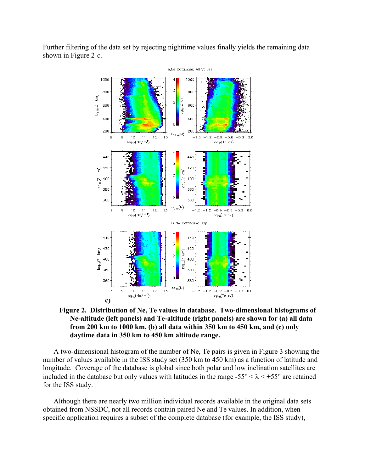Further filtering of the data set by rejecting nighttime values finally yields the remaining data shown in Figure 2-c.



**Figure 2. Distribution of Ne, Te values in database. Two-dimensional histograms of Ne-altitude (left panels) and Te-altitude (right panels) are shown for (a) all data from 200 km to 1000 km, (b) all data within 350 km to 450 km, and (c) only daytime data in 350 km to 450 km altitude range.** 

A two-dimensional histogram of the number of Ne, Te pairs is given in Figure 3 showing the number of values available in the ISS study set (350 km to 450 km) as a function of latitude and longitude. Coverage of the database is global since both polar and low inclination satellites are included in the database but only values with latitudes in the range  $-55^{\circ} < \lambda < +55^{\circ}$  are retained for the ISS study.

Although there are nearly two million individual records available in the original data sets obtained from NSSDC, not all records contain paired Ne and Te values. In addition, when specific application requires a subset of the complete database (for example, the ISS study),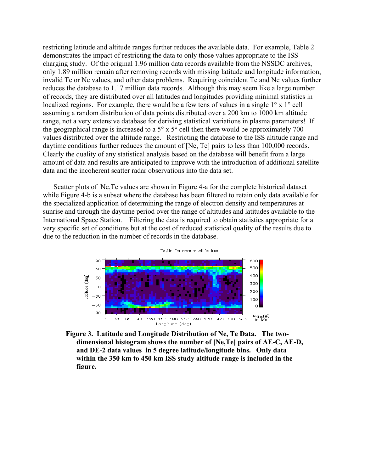restricting latitude and altitude ranges further reduces the available data. For example, Table 2 demonstrates the impact of restricting the data to only those values appropriate to the ISS charging study. Of the original 1.96 million data records available from the NSSDC archives, only 1.89 million remain after removing records with missing latitude and longitude information, invalid Te or Ne values, and other data problems. Requiring coincident Te and Ne values further reduces the database to 1.17 million data records. Although this may seem like a large number of records, they are distributed over all latitudes and longitudes providing minimal statistics in localized regions. For example, there would be a few tens of values in a single 1° x 1° cell assuming a random distribution of data points distributed over a 200 km to 1000 km altitude range, not a very extensive database for deriving statistical variations in plasma parameters! If the geographical range is increased to a  $5^\circ$  x  $5^\circ$  cell then there would be approximately 700 values distributed over the altitude range. Restricting the database to the ISS altitude range and daytime conditions further reduces the amount of [Ne, Te] pairs to less than 100,000 records. Clearly the quality of any statistical analysis based on the database will benefit from a large amount of data and results are anticipated to improve with the introduction of additional satellite data and the incoherent scatter radar observations into the data set.

Scatter plots of Ne,Te values are shown in Figure 4-a for the complete historical dataset while Figure 4-b is a subset where the database has been filtered to retain only data available for the specialized application of determining the range of electron density and temperatures at sunrise and through the daytime period over the range of altitudes and latitudes available to the International Space Station. Filtering the data is required to obtain statistics appropriate for a very specific set of conditions but at the cost of reduced statistical quality of the results due to due to the reduction in the number of records in the database.



**Figure 3. Latitude and Longitude Distribution of Ne, Te Data. The twodimensional histogram shows the number of [Ne,Te] pairs of AE-C, AE-D, and DE-2 data values in 5 degree latitude/longitude bins. Only data within the 350 km to 450 km ISS study altitude range is included in the figure.**

#### Te.Ne Database: All Values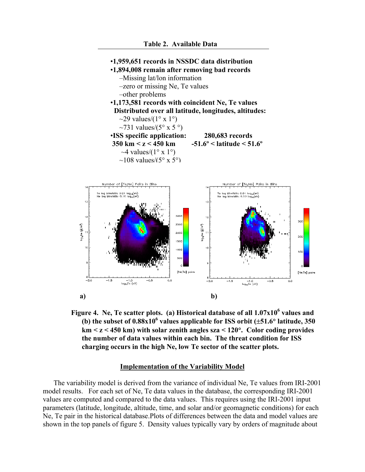

Figure 4. Ne, Te scatter plots. (a) Historical database of all  $1.07x10^6$  values and (b) the subset of  $0.88x10^6$  values applicable for ISS orbit  $(\pm 51.6^{\circ}$  latitude, 350 **km < z < 450 km) with solar zenith angles sza < 120**°**. Color coding provides the number of data values within each bin. The threat condition for ISS charging occurs in the high Ne, low Te sector of the scatter plots.** 

# **Implementation of the Variability Model**

The variability model is derived from the variance of individual Ne, Te values from IRI-2001 model results. For each set of Ne, Te data values in the database, the corresponding IRI-2001 values are computed and compared to the data values. This requires using the IRI-2001 input parameters (latitude, longitude, altitude, time, and solar and/or geomagnetic conditions) for each Ne, Te pair in the historical database.Plots of differences between the data and model values are shown in the top panels of figure 5. Density values typically vary by orders of magnitude about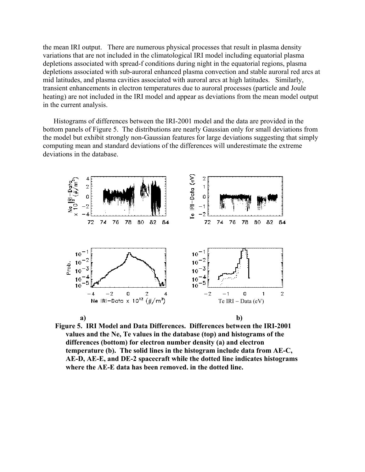the mean IRI output. There are numerous physical processes that result in plasma density variations that are not included in the climatological IRI model including equatorial plasma depletions associated with spread-f conditions during night in the equatorial regions, plasma depletions associated with sub-auroral enhanced plasma convection and stable auroral red arcs at mid latitudes, and plasma cavities associated with auroral arcs at high latitudes. Similarly, transient enhancements in electron temperatures due to auroral processes (particle and Joule heating) are not included in the IRI model and appear as deviations from the mean model output in the current analysis.

Histograms of differences between the IRI-2001 model and the data are provided in the bottom panels of Figure 5. The distributions are nearly Gaussian only for small deviations from the model but exhibit strongly non-Gaussian features for large deviations suggesting that simply computing mean and standard deviations of the differences will underestimate the extreme deviations in the database.



**Figure 5. IRI Model and Data Differences. Differences between the IRI-2001 values and the Ne, Te values in the database (top) and histograms of the differences (bottom) for electron number density (a) and electron temperature (b). The solid lines in the histogram include data from AE-C, AE-D, AE-E, and DE-2 spacecraft while the dotted line indicates histograms where the AE-E data has been removed. in the dotted line.**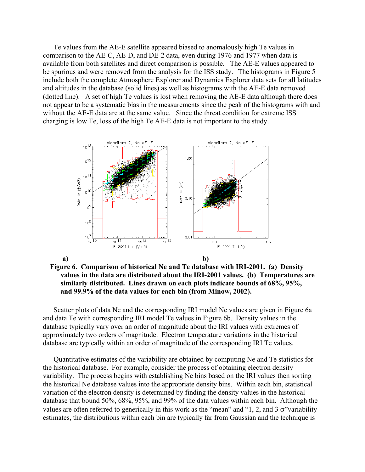Te values from the AE-E satellite appeared biased to anomalously high Te values in comparison to the AE-C, AE-D, and DE-2 data, even during 1976 and 1977 when data is available from both satellites and direct comparison is possible. The AE-E values appeared to be spurious and were removed from the analysis for the ISS study. The histograms in Figure 5 include both the complete Atmosphere Explorer and Dynamics Explorer data sets for all latitudes and altitudes in the database (solid lines) as well as histograms with the AE-E data removed (dotted line). A set of high Te values is lost when removing the AE-E data although there does not appear to be a systematic bias in the measurements since the peak of the histograms with and without the AE-E data are at the same value. Since the threat condition for extreme ISS charging is low Te, loss of the high Te AE-E data is not important to the study.



**Figure 6. Comparison of historical Ne and Te database with IRI-2001. (a) Density values in the data are distributed about the IRI-2001 values. (b) Temperatures are similarly distributed. Lines drawn on each plots indicate bounds of 68%, 95%, and 99.9% of the data values for each bin (from Minow, 2002).**

Scatter plots of data Ne and the corresponding IRI model Ne values are given in Figure 6a and data Te with corresponding IRI model Te values in Figure 6b. Density values in the database typically vary over an order of magnitude about the IRI values with extremes of approximately two orders of magnitude. Electron temperature variations in the historical database are typically within an order of magnitude of the corresponding IRI Te values.

Quantitative estimates of the variability are obtained by computing Ne and Te statistics for the historical database. For example, consider the process of obtaining electron density variability. The process begins with establishing Ne bins based on the IRI values then sorting the historical Ne database values into the appropriate density bins. Within each bin, statistical variation of the electron density is determined by finding the density values in the historical database that bound 50%, 68%, 95%, and 99% of the data values within each bin. Although the values are often referred to generically in this work as the "mean" and "1, 2, and 3  $\sigma$ "variability estimates, the distributions within each bin are typically far from Gaussian and the technique is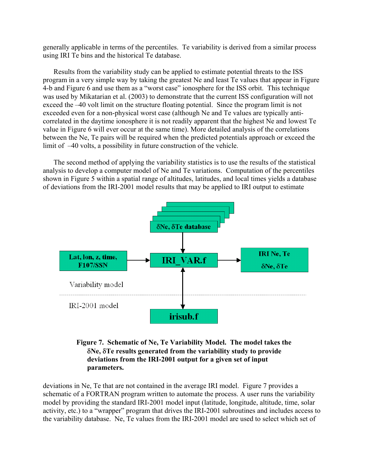generally applicable in terms of the percentiles. Te variability is derived from a similar process using IRI Te bins and the historical Te database.

Results from the variability study can be applied to estimate potential threats to the ISS program in a very simple way by taking the greatest Ne and least Te values that appear in Figure 4-b and Figure 6 and use them as a "worst case" ionosphere for the ISS orbit. This technique was used by Mikatarian et al. (2003) to demonstrate that the current ISS configuration will not exceed the –40 volt limit on the structure floating potential. Since the program limit is not exceeded even for a non-physical worst case (although Ne and Te values are typically anticorrelated in the daytime ionosphere it is not readily apparent that the highest Ne and lowest Te value in Figure 6 will ever occur at the same time). More detailed analysis of the correlations between the Ne, Te pairs will be required when the predicted potentials approach or exceed the limit of –40 volts, a possibility in future construction of the vehicle.

The second method of applying the variability statistics is to use the results of the statistical analysis to develop a computer model of Ne and Te variations. Computation of the percentiles shown in Figure 5 within a spatial range of altitudes, latitudes, and local times yields a database of deviations from the IRI-2001 model results that may be applied to IRI output to estimate



# **Figure 7. Schematic of Ne, Te Variability Model. The model takes the**  δ**Ne,** δ**Te results generated from the variability study to provide deviations from the IRI-2001 output for a given set of input parameters.**

deviations in Ne, Te that are not contained in the average IRI model. Figure 7 provides a schematic of a FORTRAN program written to automate the process. A user runs the variability model by providing the standard IRI-2001 model input (latitude, longitude, altitude, time, solar activity, etc.) to a "wrapper" program that drives the IRI-2001 subroutines and includes access to the variability database. Ne, Te values from the IRI-2001 model are used to select which set of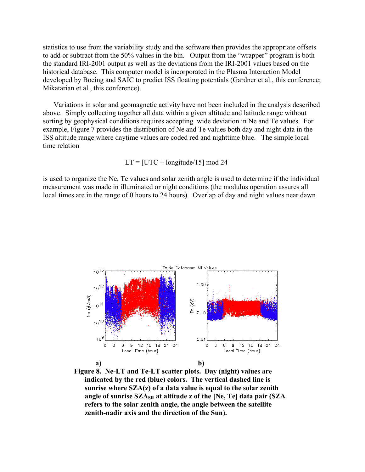statistics to use from the variability study and the software then provides the appropriate offsets to add or subtract from the 50% values in the bin. Output from the "wrapper" program is both the standard IRI-2001 output as well as the deviations from the IRI-2001 values based on the historical database. This computer model is incorporated in the Plasma Interaction Model developed by Boeing and SAIC to predict ISS floating potentials (Gardner et al., this conference; Mikatarian et al., this conference).

Variations in solar and geomagnetic activity have not been included in the analysis described above. Simply collecting together all data within a given altitude and latitude range without sorting by geophysical conditions requires accepting wide deviation in Ne and Te values. For example, Figure 7 provides the distribution of Ne and Te values both day and night data in the ISS altitude range where daytime values are coded red and nighttime blue. The simple local time relation

$$
LT = [UTC + longitude/15] \mod 24
$$

is used to organize the Ne, Te values and solar zenith angle is used to determine if the individual measurement was made in illuminated or night conditions (the modulus operation assures all local times are in the range of 0 hours to 24 hours). Overlap of day and night values near dawn



**Figure 8. Ne-LT and Te-LT scatter plots. Day (night) values are indicated by the red (blue) colors. The vertical dashed line is sunrise where SZA(z) of a data value is equal to the solar zenith angle of sunrise SZASR at altitude z of the [Ne, Te] data pair (SZA refers to the solar zenith angle, the angle between the satellite zenith-nadir axis and the direction of the Sun).**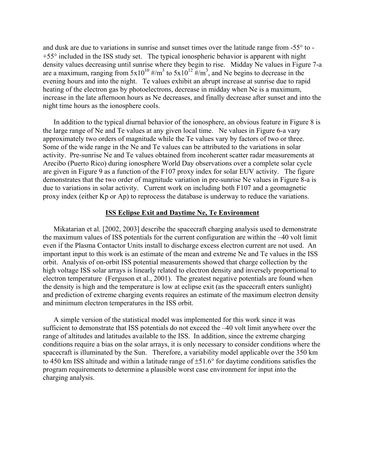and dusk are due to variations in sunrise and sunset times over the latitude range from -55° to - +55° included in the ISS study set. The typical ionospheric behavior is apparent with night density values decreasing until sunrise where they begin to rise. Midday Ne values in Figure 7-a are a maximum, ranging from  $5x10^{10}$  #/m<sup>3</sup> to  $5x10^{12}$  #/m<sup>3</sup>, and Ne begins to decrease in the evening hours and into the night. Te values exhibit an abrupt increase at sunrise due to rapid heating of the electron gas by photoelectrons, decrease in midday when Ne is a maximum, increase in the late afternoon hours as Ne decreases, and finally decrease after sunset and into the night time hours as the ionosphere cools.

In addition to the typical diurnal behavior of the ionosphere, an obvious feature in Figure 8 is the large range of Ne and Te values at any given local time. Ne values in Figure 6-a vary approximately two orders of magnitude while the Te values vary by factors of two or three. Some of the wide range in the Ne and Te values can be attributed to the variations in solar activity. Pre-sunrise Ne and Te values obtained from incoherent scatter radar measurements at Arecibo (Puerto Rico) during ionosphere World Day observations over a complete solar cycle are given in Figure 9 as a function of the F107 proxy index for solar EUV activity. The figure demonstrates that the two order of magnitude variation in pre-sunrise Ne values in Figure 8-a is due to variations in solar activity. Current work on including both F107 and a geomagnetic proxy index (either Kp or Ap) to reprocess the database is underway to reduce the variations.

# **ISS Eclipse Exit and Daytime Ne, Te Environment**

Mikatarian et al. [2002, 2003] describe the spacecraft charging analysis used to demonstrate the maximum values of ISS potentials for the current configuration are within the –40 volt limit even if the Plasma Contactor Units install to discharge excess electron current are not used. An important input to this work is an estimate of the mean and extreme Ne and Te values in the ISS orbit. Analysis of on-orbit ISS potential measurements showed that charge collection by the high voltage ISS solar arrays is linearly related to electron density and inversely proportional to electron temperature (Ferguson et al., 2001). The greatest negative potentials are found when the density is high and the temperature is low at eclipse exit (as the spacecraft enters sunlight) and prediction of extreme charging events requires an estimate of the maximum electron density and minimum electron temperatures in the ISS orbit.

A simple version of the statistical model was implemented for this work since it was sufficient to demonstrate that ISS potentials do not exceed the –40 volt limit anywhere over the range of altitudes and latitudes available to the ISS. In addition, since the extreme charging conditions require a bias on the solar arrays, it is only necessary to consider conditions where the spacecraft is illuminated by the Sun. Therefore, a variability model applicable over the 350 km to 450 km ISS altitude and within a latitude range of ±51.6° for daytime conditions satisfies the program requirements to determine a plausible worst case environment for input into the charging analysis.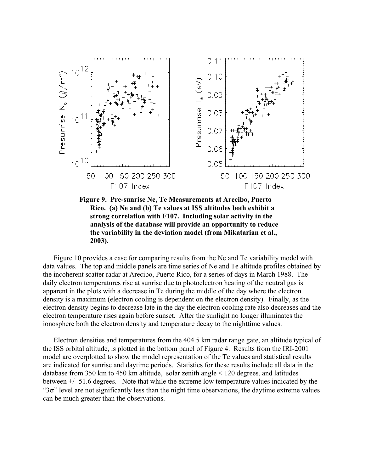

**Figure 9. Pre-sunrise Ne, Te Measurements at Arecibo, Puerto Rico. (a) Ne and (b) Te values at ISS altitudes both exhibit a strong correlation with F107. Including solar activity in the analysis of the database will provide an opportunity to reduce the variability in the deviation model (from Mikatarian et al., 2003).** 

Figure 10 provides a case for comparing results from the Ne and Te variability model with data values. The top and middle panels are time series of Ne and Te altitude profiles obtained by the incoherent scatter radar at Arecibo, Puerto Rico, for a series of days in March 1988. The daily electron temperatures rise at sunrise due to photoelectron heating of the neutral gas is apparent in the plots with a decrease in Te during the middle of the day where the electron density is a maximum (electron cooling is dependent on the electron density). Finally, as the electron density begins to decrease late in the day the electron cooling rate also decreases and the electron temperature rises again before sunset. After the sunlight no longer illuminates the ionosphere both the electron density and temperature decay to the nighttime values.

Electron densities and temperatures from the 404.5 km radar range gate, an altitude typical of the ISS orbital altitude, is plotted in the bottom panel of Figure 4. Results from the IRI-2001 model are overplotted to show the model representation of the Te values and statistical results are indicated for sunrise and daytime periods. Statistics for these results include all data in the database from 350 km to 450 km altitude, solar zenith angle < 120 degrees, and latitudes between +/- 51.6 degrees. Note that while the extreme low temperature values indicated by the - "3σ" level are not significantly less than the night time observations, the daytime extreme values can be much greater than the observations.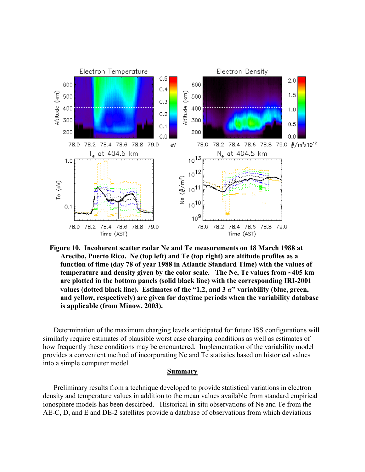

**Figure 10. Incoherent scatter radar Ne and Te measurements on 18 March 1988 at Arecibo, Puerto Rico. Ne (top left) and Te (top right) are altitude profiles as a function of time (day 78 of year 1988 in Atlantic Standard Time) with the values of temperature and density given by the color scale. The Ne, Te values from ~405 km are plotted in the bottom panels (solid black line) with the corresponding IRI-2001 values (dotted black line). Estimates of the "1,2, and 3** σ**" variability (blue, green, and yellow, respectively) are given for daytime periods when the variability database is applicable (from Minow, 2003).**

Determination of the maximum charging levels anticipated for future ISS configurations will similarly require estimates of plausible worst case charging conditions as well as estimates of how frequently these conditions may be encountered. Implementation of the variability model provides a convenient method of incorporating Ne and Te statistics based on historical values into a simple computer model.

## **Summary**

Preliminary results from a technique developed to provide statistical variations in electron density and temperature values in addition to the mean values available from standard empirical ionosphere models has been descirbed. Historical in-situ observations of Ne and Te from the AE-C, D, and E and DE-2 satellites provide a database of observations from which deviations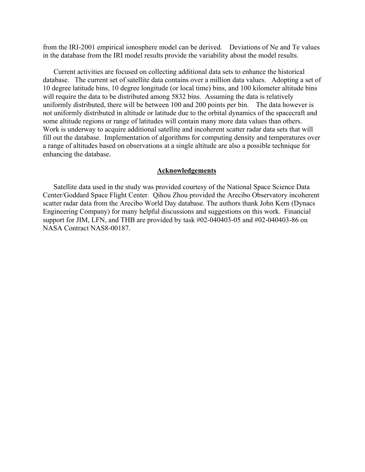from the IRI-2001 empirical ionosphere model can be derived. Deviations of Ne and Te values in the database from the IRI model results provide the variability about the model results.

Current activities are focused on collecting additional data sets to enhance the historical database. The current set of satellite data contains over a million data values. Adopting a set of 10 degree latitude bins, 10 degree longitude (or local time) bins, and 100 kilometer altitude bins will require the data to be distributed among 5832 bins. Assuming the data is relatively uniformly distributed, there will be between 100 and 200 points per bin. The data however is not uniformly distributed in altitude or latitude due to the orbital dynamics of the spacecraft and some altitude regions or range of latitudes will contain many more data values than others. Work is underway to acquire additional satellite and incoherent scatter radar data sets that will fill out the database. Implementation of algorithms for computing density and temperatures over a range of altitudes based on observations at a single altitude are also a possible technique for enhancing the database.

# **Acknowledgements**

Satellite data used in the study was provided courtesy of the National Space Science Data Center/Goddard Space Flight Center. Qihou Zhou provided the Arecibo Observatory incoherent scatter radar data from the Arecibo World Day database. The authors thank John Kern (Dynacs Engineering Company) for many helpful discussions and suggestions on this work. Financial support for JIM, LFN, and THB are provided by task #02-040403-05 and #02-040403-86 on NASA Contract NAS8-00187.